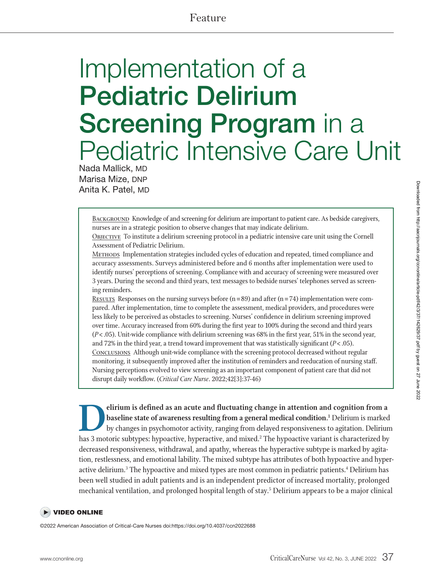# Feature

# Implementation of a **Pediatric Delirium Screening Program** in a Pediatric Intensive Care Unit

Nada Mallick, MD Marisa Mize, DNP Anita K. Patel, MD

> BACKGROUND Knowledge of and screening for delirium are important to patient care. As bedside caregivers, nurses are in a strategic position to observe changes that may indicate delirium.

**OBJECTIVE** To institute a delirium screening protocol in a pediatric intensive care unit using the Cornell Assessment of Pediatric Delirium.

<sup>M</sup>ethods Implementation strategies included cycles of education and repeated, timed compliance and accuracy assessments. Surveys administered before and 6 months after implementation were used to identify nurses' perceptions of screening. Compliance with and accuracy of screening were measured over 3 years. During the second and third years, text messages to bedside nurses' telephones served as screening reminders.

Results Responses on the nursing surveys before  $(n = 89)$  and after  $(n = 74)$  implementation were compared. After implementation, time to complete the assessment, medical providers, and procedures were less likely to be perceived as obstacles to screening. Nurses' confidence in delirium screening improved over time. Accuracy increased from 60% during the first year to 100% during the second and third years  $(P<.05)$ . Unit-wide compliance with delirium screening was 68% in the first year, 51% in the second year, and 72% in the third year, a trend toward improvement that was statistically significant  $(P < .05)$ . CONCLUSIONS Although unit-wide compliance with the screening protocol decreased without regular monitoring, it subsequently improved after the institution of reminders and reeducation of nursing staff. Nursing perceptions evolved to view screening as an important component of patient care that did not disrupt daily workflow. (*Critical Care Nurse*. 2022;42[3]:37-46)

**Delirium is defined as an acute and fluctuating change in attention and cognition from a baseline state of awareness resulting from a general medical condition.<sup>1</sup> Delirium is marked by changes in psychomotor activity, ra baseline state of awareness resulting from a general medical condition.1** Delirium is marked by changes in psychomotor activity, ranging from delayed responsiveness to agitation. Delirium decreased responsiveness, withdrawal, and apathy, whereas the hyperactive subtype is marked by agitation, restlessness, and emotional lability. The mixed subtype has attributes of both hypoactive and hyperactive delirium.<sup>3</sup> The hypoactive and mixed types are most common in pediatric patients.<sup>4</sup> Delirium has been well studied in adult patients and is an independent predictor of increased mortality, prolonged mechanical ventilation, and prolonged hospital length of stay.<sup>5</sup> Delirium appears to be a major clinical

#### **DEO ONLINE**

©2022 American Association of Critical-Care Nurses doi:https://doi.org/10.4037/ccn2022688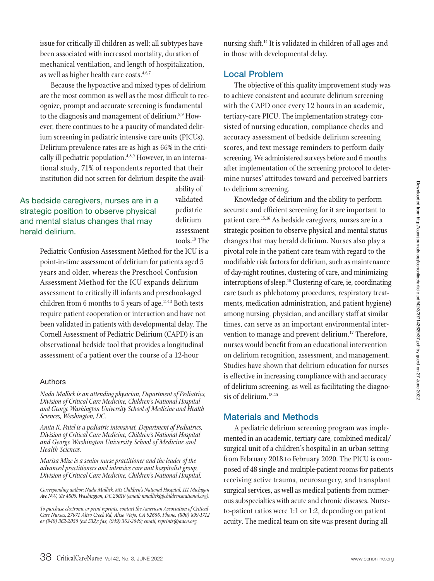issue for critically ill children as well; all subtypes have been associated with increased mortality, duration of mechanical ventilation, and length of hospitalization, as well as higher health care costs.<sup>4,6,7</sup>

Because the hypoactive and mixed types of delirium are the most common as well as the most difficult to recognize, prompt and accurate screening is fundamental to the diagnosis and management of delirium.<sup>8,9</sup> However, there continues to be a paucity of mandated delirium screening in pediatric intensive care units (PICUs). Delirium prevalence rates are as high as 66% in the critically ill pediatric population.<sup>4,8,9</sup> However, in an international study, 71% of respondents reported that their institution did not screen for delirium despite the avail-

# As bedside caregivers, nurses are in a strategic position to observe physical and mental status changes that may

ability of validated pediatric delirium assessment tools.10 The

Pediatric Confusion Assessment Method for the ICU is a point-in-time assessment of delirium for patients aged 5 years and older, whereas the Preschool Confusion Assessment Method for the ICU expands delirium assessment to critically ill infants and preschool-aged children from 6 months to 5 years of age.<sup>11-13</sup> Both tests require patient cooperation or interaction and have not been validated in patients with developmental delay. The Cornell Assessment of Pediatric Delirium (CAPD) is an observational bedside tool that provides a longitudinal assessment of a patient over the course of a 12-hour

#### Authors

herald delirium.

*Nada Mallick is an attending physician, Department of Pediatrics, Division of Critical Care Medicine, Children's National Hospital and George Washington University School of Medicine and Health Sciences, Washington, DC.*

*Anita K. Patel is a pediatric intensivist, Department of Pediatrics, Division of Critical Care Medicine, Children's National Hospital and George Washington University School of Medicine and Health Sciences.* 

*Marisa Mize is a senior nurse practitioner and the leader of the advanced practitioners and intensive care unit hospitalist group, Division of Critical Care Medicine, Children's National Hospital.* 

*Corresponding author: Nada Mallick, MD, Children's National Hospital, 111 Michigan Ave NW, Ste 4800, Washington, DC 20010 (email: nmallick@childrensnational.org).* 

*To purchase electronic or print reprints, contact the American Association of Critical-Care Nurses, 27071 Aliso Creek Rd, Aliso Viejo, CA 92656. Phone, (800) 899-1712 or (949) 362-2050 (ext 532); fax, (949) 362-2049; email, reprints@aacn.org.*

nursing shift.14 It is validated in children of all ages and in those with developmental delay.

#### **Local Problem**

The objective of this quality improvement study was to achieve consistent and accurate delirium screening with the CAPD once every 12 hours in an academic, tertiary-care PICU. The implementation strategy consisted of nursing education, compliance checks and accuracy assessment of bedside delirium screening scores, and text message reminders to perform daily screening. We administered surveys before and 6 months after implementation of the screening protocol to determine nurses' attitudes toward and perceived barriers to delirium screening.

Knowledge of delirium and the ability to perform accurate and efficient screening for it are important to patient care.15,16 As bedside caregivers, nurses are in a strategic position to observe physical and mental status changes that may herald delirium. Nurses also play a pivotal role in the patient care team with regard to the modifiable risk factors for delirium, such as maintenance of day-night routines, clustering of care, and minimizing interruptions of sleep.<sup>16</sup> Clustering of care, ie, coordinating care (such as phlebotomy procedures, respiratory treatments, medication administration, and patient hygiene) among nursing, physician, and ancillary staff at similar times, can serve as an important environmental intervention to manage and prevent delirium.<sup>17</sup> Therefore, nurses would benefit from an educational intervention on delirium recognition, assessment, and management. Studies have shown that delirium education for nurses is effective in increasing compliance with and accuracy of delirium screening, as well as facilitating the diagnosis of delirium.<sup>18-20</sup>

#### **Materials and Methods**

A pediatric delirium screening program was implemented in an academic, tertiary care, combined medical/ surgical unit of a children's hospital in an urban setting from February 2018 to February 2020. The PICU is composed of 48 single and multiple-patient rooms for patients receiving active trauma, neurosurgery, and transplant surgical services, as well as medical patients from numerous subspecialties with acute and chronic diseases. Nurseto-patient ratios were 1:1 or 1:2, depending on patient acuity. The medical team on site was present during all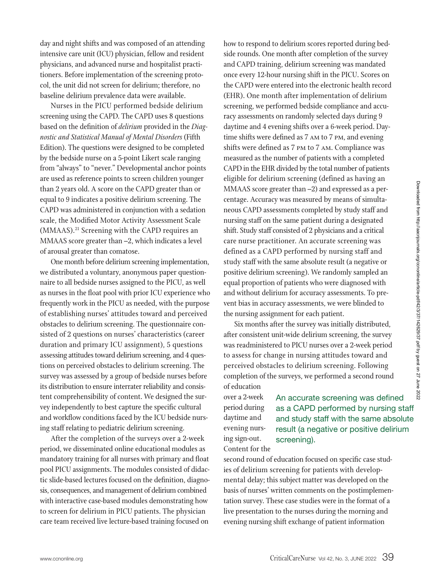day and night shifts and was composed of an attending intensive care unit (ICU) physician, fellow and resident physicians, and advanced nurse and hospitalist practitioners. Before implementation of the screening protocol, the unit did not screen for delirium; therefore, no baseline delirium prevalence data were available.

Nurses in the PICU performed bedside delirium screening using the CAPD. The CAPD uses 8 questions based on the definition of *delirium* provided in the *Diagnostic and Statistical Manual of Mental Disorders* (Fifth Edition). The questions were designed to be completed by the bedside nurse on a 5-point Likert scale ranging from "always" to "never." Developmental anchor points are used as reference points to screen children younger than 2 years old. A score on the CAPD greater than or equal to 9 indicates a positive delirium screening. The CAPD was administered in conjunction with a sedation scale, the Modified Motor Activity Assessment Scale (MMAAS).<sup>21</sup> Screening with the CAPD requires an MMAAS score greater than –2, which indicates a level of arousal greater than comatose.

One month before delirium screening implementation, we distributed a voluntary, anonymous paper questionnaire to all bedside nurses assigned to the PICU, as well as nurses in the float pool with prior ICU experience who frequently work in the PICU as needed, with the purpose of establishing nurses' attitudes toward and perceived obstacles to delirium screening. The questionnaire consisted of 2 questions on nurses' characteristics (career duration and primary ICU assignment), 5 questions assessing attitudes toward delirium screening, and 4 questions on perceived obstacles to delirium screening. The survey was assessed by a group of bedside nurses before its distribution to ensure interrater reliability and consistent comprehensibility of content. We designed the survey independently to best capture the specific cultural and workflow conditions faced by the ICU bedside nursing staff relating to pediatric delirium screening.

After the completion of the surveys over a 2-week period, we disseminated online educational modules as mandatory training for all nurses with primary and float pool PICU assignments. The modules consisted of didactic slide-based lectures focused on the definition, diagnosis, consequences, and management of delirium combined with interactive case-based modules demonstrating how to screen for delirium in PICU patients. The physician care team received live lecture-based training focused on

how to respond to delirium scores reported during bedside rounds. One month after completion of the survey and CAPD training, delirium screening was mandated once every 12-hour nursing shift in the PICU. Scores on the CAPD were entered into the electronic health record (EHR). One month after implementation of delirium screening, we performed bedside compliance and accuracy assessments on randomly selected days during 9 daytime and 4 evening shifts over a 6-week period. Daytime shifts were defined as 7 am to 7 pm, and evening shifts were defined as 7 pm to 7 am. Compliance was measured as the number of patients with a completed CAPD in the EHR divided by the total number of patients eligible for delirium screening (defined as having an MMAAS score greater than –2) and expressed as a percentage. Accuracy was measured by means of simultaneous CAPD assessments completed by study staff and nursing staff on the same patient during a designated shift. Study staff consisted of 2 physicians and a critical care nurse practitioner. An accurate screening was defined as a CAPD performed by nursing staff and study staff with the same absolute result (a negative or positive delirium screening). We randomly sampled an equal proportion of patients who were diagnosed with and without delirium for accuracy assessments. To prevent bias in accuracy assessments, we were blinded to the nursing assignment for each patient.

Six months after the survey was initially distributed, after consistent unit-wide delirium screening, the survey was readministered to PICU nurses over a 2-week period to assess for change in nursing attitudes toward and perceived obstacles to delirium screening. Following completion of the surveys, we performed a second round of education

over a 2-week period during daytime and evening nursing sign-out. Content for the

An accurate screening was defined as a CAPD performed by nursing staff and study staff with the same absolute result (a negative or positive delirium screening).

second round of education focused on specific case studies of delirium screening for patients with developmental delay; this subject matter was developed on the basis of nurses' written comments on the postimplementation survey. These case studies were in the format of a live presentation to the nurses during the morning and evening nursing shift exchange of patient information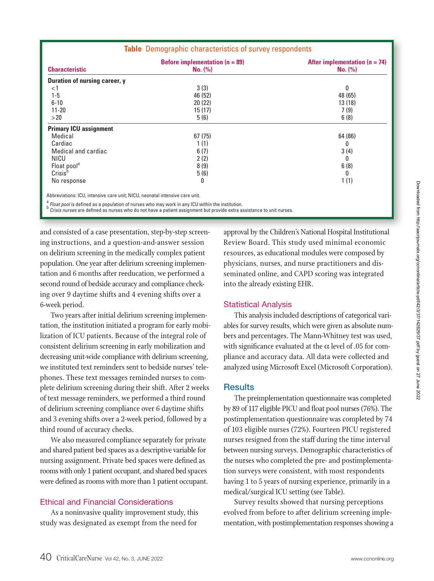| <b>Characteristic</b>         | Before implementation ( $n = 89$ )<br>No. (%) | After implementation $(n = 74)$<br>No. (%) |
|-------------------------------|-----------------------------------------------|--------------------------------------------|
| Duration of nursing career, y |                                               |                                            |
| < 1                           | 3(3)                                          | 0                                          |
| $1 - 5$                       | 46 (52)                                       | 48 (65)                                    |
| $6 - 10$                      | 20(22)                                        | 13(18)                                     |
| $11 - 20$                     | 15(17)                                        | 7(9)                                       |
| >20                           | 5(6)                                          | 6(8)                                       |
| <b>Primary ICU assignment</b> |                                               |                                            |
| Medical                       | 67(75)                                        | 64 (86)                                    |
| Cardiac                       | 1(1)                                          | 0                                          |
| Medical and cardiac           | 6(7)                                          | 3(4)                                       |
| NICU                          | 2(2)                                          | 0                                          |
| Float pool <sup>a</sup>       | 8(9)                                          | 6(8)                                       |
| Crisis <sup>b</sup>           | 5(6)                                          | 0                                          |
| No response                   | 0                                             | 1(1)                                       |
|                               |                                               |                                            |

**Table** Demographic characteristics of survey respondents

Abbreviations: ICU, intensive care unit; NICU, neonatal intensive care unit.

 $\frac{a}{b}$  Float pool is defined as a population of nurses who may work in any ICU within the institution.<br>b Crisis nurses are defined as nurses who do not have a patient assignment but provide extra assistance to unit nur

and consisted of a case presentation, step-by-step screening instructions, and a question-and-answer session on delirium screening in the medically complex patient population. One year after delirium screening implementation and 6 months after reeducation, we performed a second round of bedside accuracy and compliance checking over 9 daytime shifts and 4 evening shifts over a 6-week period.

Two years after initial delirium screening implementation, the institution initiated a program for early mobilization of ICU patients. Because of the integral role of consistent delirium screening in early mobilization and decreasing unit-wide compliance with delirium screening, we instituted text reminders sent to bedside nurses' telephones. These text messages reminded nurses to complete delirium screening during their shift. After 2 weeks of text message reminders, we performed a third round of delirium screening compliance over 6 daytime shifts and 3 evening shifts over a 2-week period, followed by a third round of accuracy checks.

We also measured compliance separately for private and shared patient bed spaces as a descriptive variable for nursing assignment. Private bed spaces were defined as rooms with only 1 patient occupant, and shared bed spaces were defined as rooms with more than 1 patient occupant.

#### Ethical and Financial Considerations

As a noninvasive quality improvement study, this study was designated as exempt from the need for

d consisted of a case presentation, step-by-step screen-comproval by the Children's National Hospital Institutional Review Board. This study used minimal economic resources, as educational modules were composed by physicians, nurses, and nurse practitioners and disseminated online, and CAPD scoring was integrated into the already existing EHR.

#### Statistical Analysis

This analysis included descriptions of categorical variables for survey results, which were given as absolute numbers and percentages. The Mann-Whitney test was used, with significance evaluated at the  $\alpha$  level of .05 for compliance and accuracy data. All data were collected and analyzed using Microsoft Excel (Microsoft Corporation).

#### **Results**

The preimplementation questionnaire was completed by 89 of 117 eligible PICU and float pool nurses (76%). The postimplementation questionnaire was completed by 74 of 103 eligible nurses (72%). Fourteen PICU registered nurses resigned from the staff during the time interval between nursing surveys. Demographic characteristics of the nurses who completed the pre- and postimplementation surveys were consistent, with most respondents having 1 to 5 years of nursing experience, primarily in a medical/surgical ICU setting (see Table).

Survey results showed that nursing perceptions evolved from before to after delirium screening implementation, with postimplementation responses showing a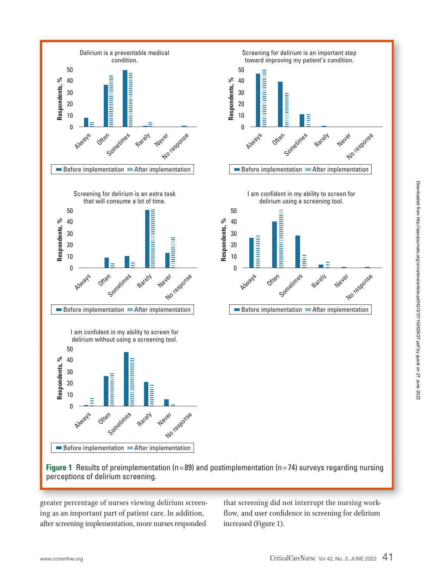

**Figure 1** Results of preimplementation (n=89) and postimplementation (n=74) surveys regarding nursing perceptions of delirium screening.

greater percentage of nurses viewing delirium screening as an important part of patient care. In addition, after screening implementation, more nurses responded

f nurses viewing delirium screen-that screening did not interrupt the nursing workflow, and user confidence in screening for delirium increased (Figure 1).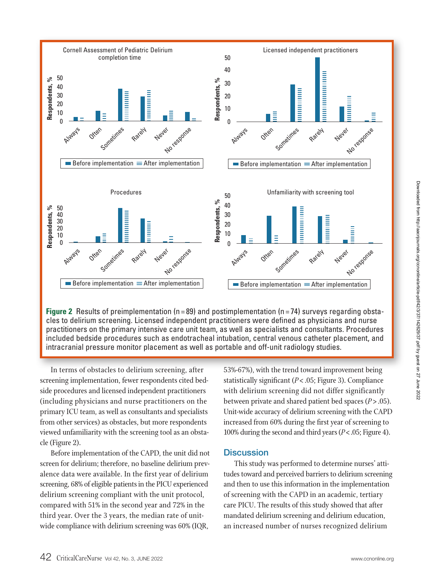

**Figure 2** Results of preimplementation (n=89) and postimplementation (n=74) surveys regarding obstacles to delirium screening. Licensed independent practitioners were defined as physicians and nurse practitioners on the primary intensive care unit team, as well as specialists and consultants. Procedures included bedside procedures such as endotracheal intubation, central venous catheter placement, and intracranial pressure monitor placement as well as portable and off-unit radiology studies.

In terms of obstacles to delirium screening, after screening implementation, fewer respondents cited bedside procedures and licensed independent practitioners (including physicians and nurse practitioners on the primary ICU team, as well as consultants and specialists from other services) as obstacles, but more respondents viewed unfamiliarity with the screening tool as an obstacle (Figure 2).

Before implementation of the CAPD, the unit did not screen for delirium; therefore, no baseline delirium prevalence data were available. In the first year of delirium screening, 68% of eligible patients in the PICU experienced delirium screening compliant with the unit protocol, compared with 51% in the second year and 72% in the third year. Over the 3 years, the median rate of unitwide compliance with delirium screening was 60% (IQR,

terms of obstacles to delirium screening, after  $\qquad \quad$  53%-67%), with the trend toward improvement being statistically significant (*P*< .05; Figure 3). Compliance with delirium screening did not differ significantly between private and shared patient bed spaces (*P*> .05). Unit-wide accuracy of delirium screening with the CAPD increased from 60% during the first year of screening to 100% during the second and third years (*P*< .05; Figure 4).

#### **Discussion**

This study was performed to determine nurses' attitudes toward and perceived barriers to delirium screening and then to use this information in the implementation of screening with the CAPD in an academic, tertiary care PICU. The results of this study showed that after mandated delirium screening and delirium education, an increased number of nurses recognized delirium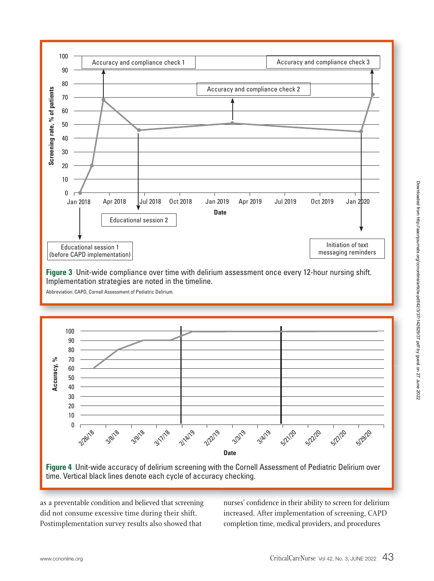

**Figure 3** Unit-wide compliance over time with delirium assessment once every 12-hour nursing shift. Implementation strategies are noted in the timeline.

Abbreviation: CAPD, Cornell Assessment of Pediatric Delirium.



**Figure 4** Unit-wide accuracy of delirium screening with the Cornell Assessment of Pediatric Delirium over time. Vertical black lines denote each cycle of accuracy checking.

as a preventable condition and believed that screening did not consume excessive time during their shift. Postimplementation survey results also showed that

ble condition and believed that screening hurses' confidence in their ability to screen for delirium increased. After implementation of screening, CAPD completion time, medical providers, and procedures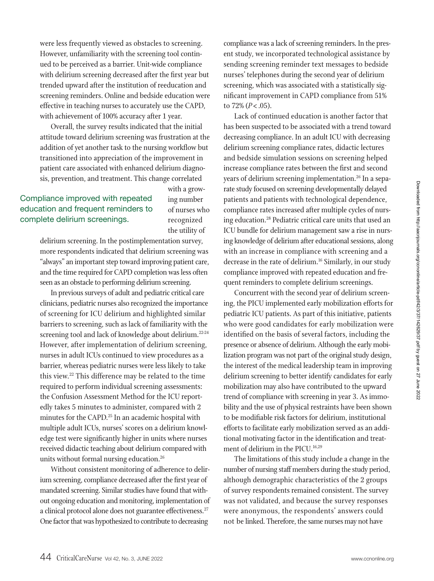were less frequently viewed as obstacles to screening. However, unfamiliarity with the screening tool continued to be perceived as a barrier. Unit-wide compliance with delirium screening decreased after the first year but trended upward after the institution of reeducation and screening reminders. Online and bedside education were effective in teaching nurses to accurately use the CAPD, with achievement of 100% accuracy after 1 year.

Overall, the survey results indicated that the initial attitude toward delirium screening was frustration at the addition of yet another task to the nursing workflow but transitioned into appreciation of the improvement in patient care associated with enhanced delirium diagnosis, prevention, and treatment. This change correlated

### Compliance improved with repeated education and frequent reminders to complete delirium screenings.

with a growing number of nurses who recognized the utility of

delirium screening. In the postimplementation survey, more respondents indicated that delirium screening was "always" an important step toward improving patient care, and the time required for CAPD completion was less often seen as an obstacle to performing delirium screening.

In previous surveys of adult and pediatric critical care clinicians, pediatric nurses also recognized the importance of screening for ICU delirium and highlighted similar barriers to screening, such as lack of familiarity with the screening tool and lack of knowledge about delirium.<sup>22-24</sup> However, after implementation of delirium screening, nurses in adult ICUs continued to view procedures as a barrier, whereas pediatric nurses were less likely to take this view.22 This difference may be related to the time required to perform individual screening assessments: the Confusion Assessment Method for the ICU reportedly takes 5 minutes to administer, compared with 2 minutes for the CAPD.<sup>25</sup> In an academic hospital with multiple adult ICUs, nurses' scores on a delirium knowledge test were significantly higher in units where nurses received didactic teaching about delirium compared with units without formal nursing education.<sup>26</sup>

Without consistent monitoring of adherence to delirium screening, compliance decreased after the first year of mandated screening. Similar studies have found that without ongoing education and monitoring, implementation of a clinical protocol alone does not guarantee effectiveness.<sup>27</sup> One factor that was hypothesized to contribute to decreasing

compliance was a lack of screening reminders. In the present study, we incorporated technological assistance by sending screening reminder text messages to bedside nurses' telephones during the second year of delirium screening, which was associated with a statistically significant improvement in CAPD compliance from 51% to  $72\%$  ( $P < .05$ ).

Lack of continued education is another factor that has been suspected to be associated with a trend toward decreasing compliance. In an adult ICU with decreasing delirium screening compliance rates, didactic lectures and bedside simulation sessions on screening helped increase compliance rates between the first and second years of delirium screening implementation.<sup>26</sup> In a separate study focused on screening developmentally delayed patients and patients with technological dependence, compliance rates increased after multiple cycles of nursing education.28 Pediatric critical care units that used an ICU bundle for delirium management saw a rise in nursing knowledge of delirium after educational sessions, along with an increase in compliance with screening and a decrease in the rate of delirium.<sup>16</sup> Similarly, in our study compliance improved with repeated education and frequent reminders to complete delirium screenings.

Concurrent with the second year of delirium screening, the PICU implemented early mobilization efforts for pediatric ICU patients. As part of this initiative, patients who were good candidates for early mobilization were identified on the basis of several factors, including the presence or absence of delirium. Although the early mobilization program was not part of the original study design, the interest of the medical leadership team in improving delirium screening to better identify candidates for early mobilization may also have contributed to the upward trend of compliance with screening in year 3. As immobility and the use of physical restraints have been shown to be modifiable risk factors for delirium, institutional efforts to facilitate early mobilization served as an additional motivating factor in the identification and treatment of delirium in the PICU.<sup>16,29</sup>

The limitations of this study include a change in the number of nursing staff members during the study period, although demographic characteristics of the 2 groups of survey respondents remained consistent. The survey was not validated, and because the survey responses were anonymous, the respondents' answers could not be linked. Therefore, the same nurses may not have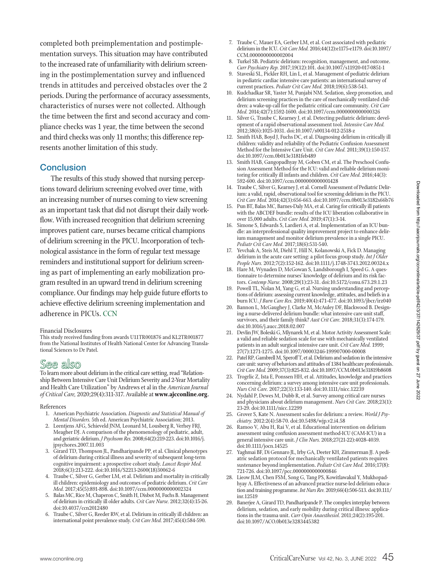completed both preimplementation and postimplementation surveys. This situation may have contributed to the increased rate of unfamiliarity with delirium screening in the postimplementation survey and influenced trends in attitudes and perceived obstacles over the 2 periods. During the performance of accuracy assessments, characteristics of nurses were not collected. Although the time between the first and second accuracy and compliance checks was 1 year, the time between the second and third checks was only 11 months; this difference represents another limitation of this study.

#### **Conclusion**

The results of this study showed that nursing perceptions toward delirium screening evolved over time, with an increasing number of nurses coming to view screening as an important task that did not disrupt their daily workflow. With increased recognition that delirium screening improves patient care, nurses became critical champions of delirium screening in the PICU. Incorporation of technological assistance in the form of regular text message reminders and institutional support for delirium screening as part of implementing an early mobilization program resulted in an upward trend in delirium screening compliance. Our findings may help guide future efforts to achieve effective delirium screening implementation and adherence in PICUs. CCN

#### Financial Disclosures

This study received funding from awards U11TR001876 and KL2TR001877 from the National Institutes of Health National Center for Advancing Translational Sciences to Dr Patel.

## See also

To learn more about delirium in the critical care setting, read "Relationship Between Intensive Care Unit Delirium Severity and 2-Year Mortality and Health Care Utilization" by Andrews et al in the *American Journal of Critical Care,* 2020;29(4):311-317. Available at **www.ajcconline.org.**

#### References

- 1. American Psychiatric Association. *Diagnostic and Statistical Manual of Mental Disorders.* 5th ed. American Psychiatric Association; 2013.
- 2. Leentjens AFG, Schieveld JNM, Leonard M, Lousberg R, Verhey FRJ, Meagher DJ. A comparison of the phenomenology of pediatric, adult, and geriatric delirium. *J Psychsom Res.* 2008;64(2):219-223. doi:10.1016/j. jpsychores.2007.11.003
- 3. Girard TD, Thompson JL, Pandharipande PP, et al. Clinical phenotypes of delirium during critical illness and severity of subsequent long-term cognitive impairment: a prospective cohort study. *Lancet Respir Med.*  2018;6(3):213-222. doi:10.1016/S2213-2600(18)30062-6
- 4. Traube C, Silver G, Gerber LM, et al. Delirium and mortality in critically ill children: epidemiology and outcomes of pediatric delirium. *Crit Care Med.* 2017;45(5):891-898. doi:10.1097/ccm.0000000000002324
- 5. Balas MC, Rice M, Chaperon C, Smith H, Disbot M, Fuchs B. Management of delirium in critically ill older adults. *Crit Care Nurse.* 2012;32(4):15-26. doi:10.4037/ccn2012480
- 6. Traube C, Silver G, Reeder RW, et al. Delirium in critically ill children: an international point prevalence study. *Crit Care Med.* 2017;45(4):584-590.
- 7. Traube C, Mauer EA, Gerber LM, et al. Cost associated with pediatric delirium in the ICU. *Crit Care Med.* 2016;44(12):e1175-e1179. doi:10.1097/ CCM.0000000000002004
- 8. Turkel SB. Pediatric delirium: recognition, management, and outcome. *Curr Psychiatry Rep.* 2017;19(12):101. doi:10.1007/s11920-017-0851-1
- Staveski SL, Pickler RH, Lin L, et al. Management of pediatric delirium in pediatric cardiac intensive care patients: an international survey of current practices. *Pediatr Crit Care Med.* 2018;19(6):538-543.
- 10. Kudchadkar SR, Yaster M, Punjabi NM. Sedation, sleep promotion, and delirium screening practices in the care of mechanically ventilated children: a wake-up call for the pediatric critical care community. *Crit Care Med.* 2014;42(7):1592-1600. doi:10.1097/ccm.0000000000000326
- 11. Silver G, Traube C, Kearney J, et al. Detecting pediatric delirium: development of a rapid observational assessment tool. *Intensive Care Med.*  2012;38(6):1025-1031. doi:10.1007/s00134-012-2518-z
- 12. Smith HAB, Boyd J, Fuchs DC, et al. Diagnosing delirium in critically ill children: validity and reliability of the Pediatric Confusion Assessment Method for the Intensive Care Unit. *Crit Care Med.* 2011;39(1):150-157. doi:10.1097/ccm.0b013e3181feb489
- 13. Smith HAB, Gangopadhyay M, Goben CM, et al. The Preschool Confusion Assessment Method for the ICU: valid and reliable delirium monitoring for critically ill infants and children. *Crit Care Med.* 2016;44(3): 592-600. doi:10.1097/ccm.0000000000001428
- 14. Traube C, Silver G, Kearney J, et al. Cornell Assessment of Pediatric Delirium: a valid, rapid, observational tool for screening delirium in the PICU. *Crit Care Med.* 2014;42(3):656-663. doi:10.1097/ccm.0b013e3182s66b76
- 15. Pun BT, Balas MC, Barnes-Daly MA, et al. Caring for critically ill patients with the ABCDEF bundle: results of the ICU liberation collaborative in over 15,000 adults. *Crit Care Med.* 2019;47(1):3-14.
- 16. Simone S, Edwards S, Lardieri A, et al. Implementation of an ICU bundle: an interprofessional quality improvement project to enhance delirium management and monitor delirium prevalence in a single PICU. *Pediatr Crit Care Med.* 2017;18(6):531-540.
- 17. Yevchak A, Steis M, Diehl T, Hill N, Kolanowski A, Fick D. Managing delirium in the acute care setting: a pilot focus group study. *Int J Older People Nurs.* 2012;7(2):152-162. doi:10.1111/j.1748-3743.2012.00324.x
- 18. Hare M, Wynaden D, McGowan S, Landsborough I, Speed G. A questionnaire to determine nurses' knowledge of delirium and its risk factors. *Contemp Nurse.* 2008;29(1):23-31. doi:10.5172/conu.673.29.1.23
- 19. Powell TL, Nolan M, Yang G, et al. Nursing understanding and perceptions of delirium: assessing current knowledge, attitudes, and beliefs in a burn ICU. *J Burn Care Res.* 2019;40(4):471-477. doi:10.1093/jbcr/irz040
- 20. Bannon L, McGaughey J, Clarke M, McAuley DF, Blackwood B. Designing a nurse-delivered delirium bundle: what intensive care unit staff, survivors, and their family think? *Aust Crit Care.* 2018;31(3):174-179. doi:10.1016/j.aucc.2018.02.007
- 21. Devlin JW, Boleski G, Mlynarek M, et al. Motor Activity Assessment Scale: a valid and reliable sedation scale for use with mechanically ventilated patients in an adult surgical intensive care unit. *Crit Care Med.* 1999; 27(7):1271-1275. doi:10.1097/00003246-199907000-00008
- 22. Patel RP, Gambrell M, Speroff T, et al. Delirium and sedation in the intensive care unit: survey of behaviors and attitudes of 1384 healthcare professionals. *Crit Care Med.* 2009;37(3):825-832. doi:10.1097/CCM.0b013e31819b8608
- 23. Trogrlic Z, Ista E, Ponssen HH, et al. Attitudes, knowledge and practices concerning delirium: a survey among intensive care unit professionals. *Nurs Crit Care.* 2017;22(3):133-140. doi:10.1111/nicc.12239
- 24. Nydahl P, Dewes M, Dubb R, et al. Survey among critical care nurses and physicians about delirium management. *Nurs Crit Care.* 2018;23(1): 23-29. doi:10.1111/nicc.12299
- 25. Grover S, Kate N. Assessment scales for delirium: a review. *World J Psychiatry.* 2012:2(4):58-70. doi:10.5498/wjp.v2.i4.58
- 26. Ramoo V, Abu H, Rai V, et al. Educational intervention on delirium assessment using confusion assessment method-ICU (CAM-ICU) in a general intensive care unit. *J Clin Nurs.* 2018;27(21-22):4028-4039. doi:10.1111/jocn.14525
- 27. Yaghmai BF, Di Gennaro JL, Irby GA, Deeter KH, Zimmerman JJ. A pediatric sedation protocol for mechanically ventilated patients requires sustenance beyond implementation. *Pediatr Crit Care Med.* 2016;17(8): 721-726. doi:10.1097/pcc.0000000000000846
- 28. Lieow JLM, Chen FSM, Song G, Tang PS, Kowitlawakul Y, Mukhopadhyay A. Effectiveness of an advanced practice nurse-led delirium education and training programme. *Int Nurs Rev.* 2019;66(4):506-513. doi:10.111/ inr.12519
- 29. Banerjee A, Girard TD, Pandharipande P. The complex interplay between delirium, sedation, and early mobility during critical illness: applications in the trauma unit. *Curr Opin Anaesthesiol.* 2011;24(2):195-201. doi:10.1097/ACO.0b013e3283445382